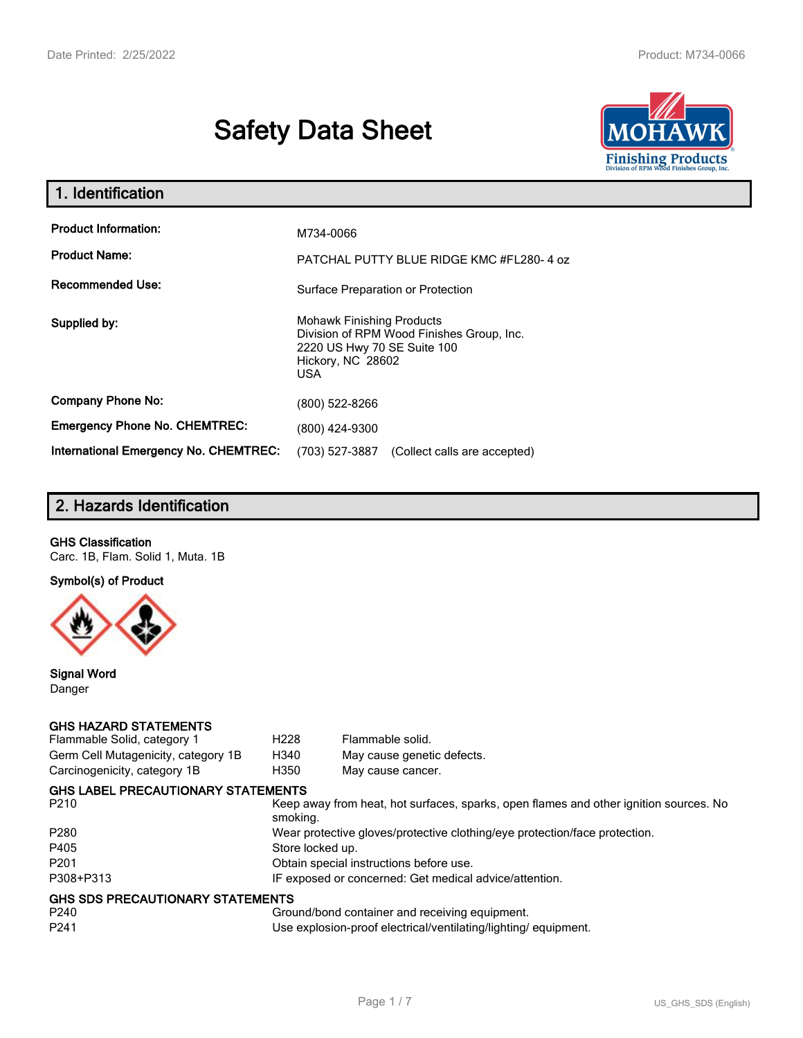# **Safety Data Sheet**



| 1. Identification                                   |                                                                                                                                          |
|-----------------------------------------------------|------------------------------------------------------------------------------------------------------------------------------------------|
| <b>Product Information:</b><br><b>Product Name:</b> | M734-0066<br>PATCHAL PUTTY BLUE RIDGE KMC #FL280-4 oz                                                                                    |
| <b>Recommended Use:</b>                             | Surface Preparation or Protection                                                                                                        |
| Supplied by:                                        | <b>Mohawk Finishing Products</b><br>Division of RPM Wood Finishes Group, Inc.<br>2220 US Hwy 70 SE Suite 100<br>Hickory, NC 28602<br>USA |
| <b>Company Phone No:</b>                            | (800) 522-8266                                                                                                                           |
| <b>Emergency Phone No. CHEMTREC:</b>                | (800) 424-9300                                                                                                                           |
| <b>International Emergency No. CHEMTREC:</b>        | (703) 527-3887<br>(Collect calls are accepted)                                                                                           |

# **2. Hazards Identification**

#### **GHS Classification**

Carc. 1B, Flam. Solid 1, Muta. 1B

**Symbol(s) of Product**



**Signal Word** Danger

#### **GHS HAZARD STATEMENTS**

| Flammable Solid, category 1         | H <sub>228</sub> | Flammable solid.                                                                      |
|-------------------------------------|------------------|---------------------------------------------------------------------------------------|
| Germ Cell Mutagenicity, category 1B | H340             | May cause genetic defects.                                                            |
| Carcinogenicity, category 1B        | H350             | May cause cancer.                                                                     |
| GHS LABEL PRECAUTIONARY STATEMENTS  |                  |                                                                                       |
| P210                                | smoking.         | Keep away from heat, hot surfaces, sparks, open flames and other ignition sources. No |
| P280                                |                  | Wear protective gloves/protective clothing/eye protection/face protection.            |
| P405                                | Store locked up. |                                                                                       |
| P201                                |                  | Obtain special instructions before use.                                               |
| P308+P313                           |                  | IF exposed or concerned: Get medical advice/attention.                                |
| GHS SDS PRECAUTIONARY STATEMENTS    |                  |                                                                                       |
| P240                                |                  | Ground/bond container and receiving equipment.                                        |
| P241                                |                  | Use explosion-proof electrical/ventilating/lighting/equipment.                        |
|                                     |                  |                                                                                       |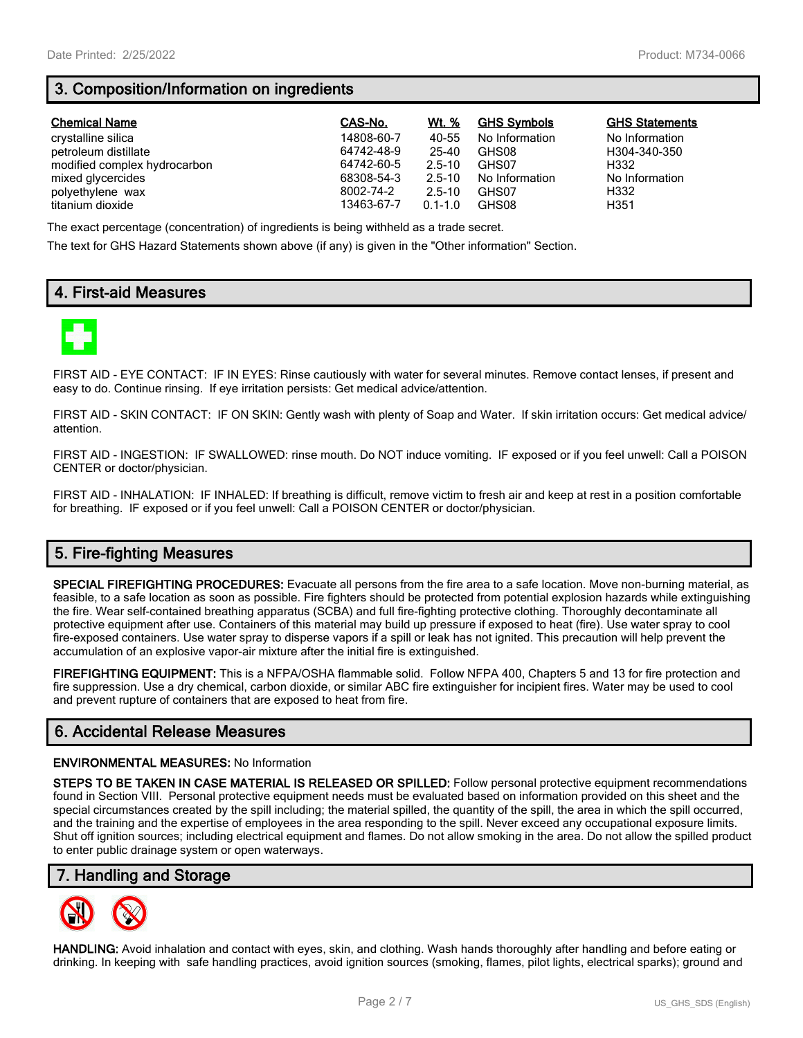# **3. Composition/Information on ingredients**

| <b>Chemical Name</b>         | CAS-No.    | Wt. %       | <b>GHS Symbols</b> | <b>GHS Statements</b> |
|------------------------------|------------|-------------|--------------------|-----------------------|
| crystalline silica           | 14808-60-7 | 40-55       | No Information     | No Information        |
| petroleum distillate         | 64742-48-9 | 25-40       | GHS08              | H304-340-350          |
| modified complex hydrocarbon | 64742-60-5 | $2.5 - 10$  | GHS07              | H332                  |
| mixed glycercides            | 68308-54-3 | $2.5 - 10$  | No Information     | No Information        |
| polyethylene wax             | 8002-74-2  | $2.5 - 10$  | GHS07              | H332                  |
| titanium dioxide             | 13463-67-7 | $0.1 - 1.0$ | GHS08              | H351                  |

The exact percentage (concentration) of ingredients is being withheld as a trade secret.

The text for GHS Hazard Statements shown above (if any) is given in the "Other information" Section.

## **4. First-aid Measures**



FIRST AID - EYE CONTACT: IF IN EYES: Rinse cautiously with water for several minutes. Remove contact lenses, if present and easy to do. Continue rinsing. If eye irritation persists: Get medical advice/attention.

FIRST AID - SKIN CONTACT: IF ON SKIN: Gently wash with plenty of Soap and Water. If skin irritation occurs: Get medical advice/ attention.

FIRST AID - INGESTION: IF SWALLOWED: rinse mouth. Do NOT induce vomiting. IF exposed or if you feel unwell: Call a POISON CENTER or doctor/physician.

FIRST AID - INHALATION: IF INHALED: If breathing is difficult, remove victim to fresh air and keep at rest in a position comfortable for breathing. IF exposed or if you feel unwell: Call a POISON CENTER or doctor/physician.

# **5. Fire-fighting Measures**

**SPECIAL FIREFIGHTING PROCEDURES:** Evacuate all persons from the fire area to a safe location. Move non-burning material, as feasible, to a safe location as soon as possible. Fire fighters should be protected from potential explosion hazards while extinguishing the fire. Wear self-contained breathing apparatus (SCBA) and full fire-fighting protective clothing. Thoroughly decontaminate all protective equipment after use. Containers of this material may build up pressure if exposed to heat (fire). Use water spray to cool fire-exposed containers. Use water spray to disperse vapors if a spill or leak has not ignited. This precaution will help prevent the accumulation of an explosive vapor-air mixture after the initial fire is extinguished.

**FIREFIGHTING EQUIPMENT:** This is a NFPA/OSHA flammable solid. Follow NFPA 400, Chapters 5 and 13 for fire protection and fire suppression. Use a dry chemical, carbon dioxide, or similar ABC fire extinguisher for incipient fires. Water may be used to cool and prevent rupture of containers that are exposed to heat from fire.

## **6. Accidental Release Measures**

#### **ENVIRONMENTAL MEASURES:** No Information

**STEPS TO BE TAKEN IN CASE MATERIAL IS RELEASED OR SPILLED:** Follow personal protective equipment recommendations found in Section VIII. Personal protective equipment needs must be evaluated based on information provided on this sheet and the special circumstances created by the spill including; the material spilled, the quantity of the spill, the area in which the spill occurred, and the training and the expertise of employees in the area responding to the spill. Never exceed any occupational exposure limits. Shut off ignition sources; including electrical equipment and flames. Do not allow smoking in the area. Do not allow the spilled product to enter public drainage system or open waterways.

#### **7. Handling and Storage**



**HANDLING:** Avoid inhalation and contact with eyes, skin, and clothing. Wash hands thoroughly after handling and before eating or drinking. In keeping with safe handling practices, avoid ignition sources (smoking, flames, pilot lights, electrical sparks); ground and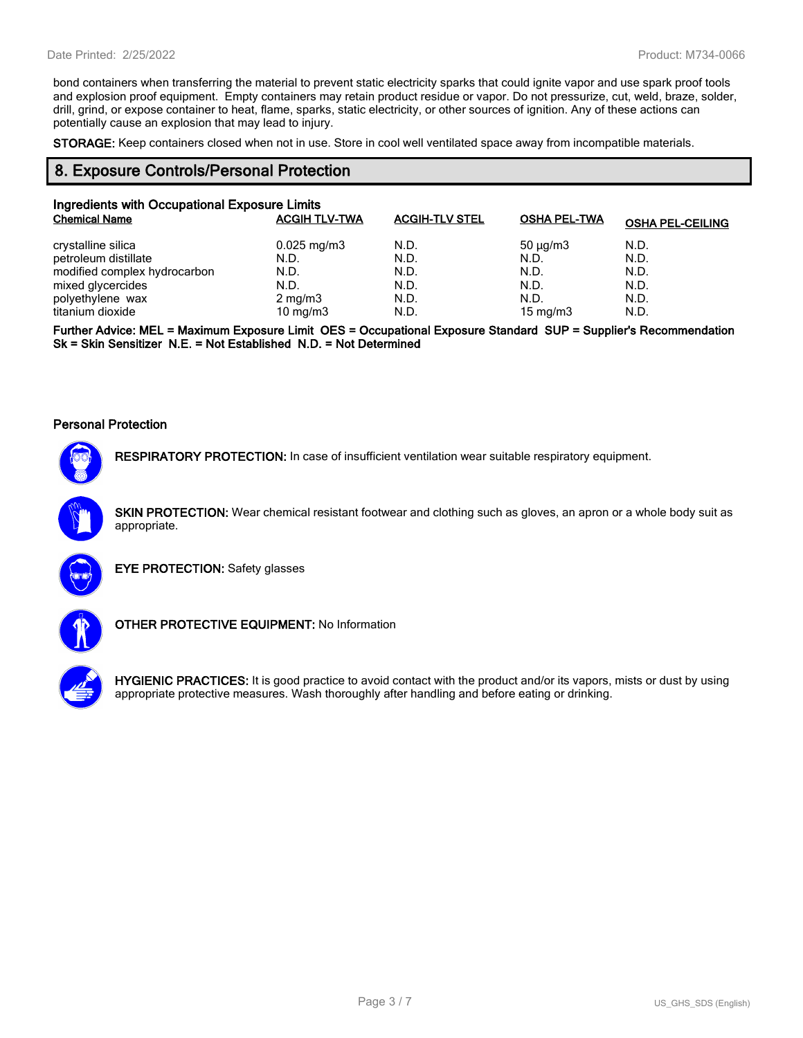bond containers when transferring the material to prevent static electricity sparks that could ignite vapor and use spark proof tools and explosion proof equipment. Empty containers may retain product residue or vapor. Do not pressurize, cut, weld, braze, solder, drill, grind, or expose container to heat, flame, sparks, static electricity, or other sources of ignition. Any of these actions can potentially cause an explosion that may lead to injury.

**STORAGE:** Keep containers closed when not in use. Store in cool well ventilated space away from incompatible materials.

#### **8. Exposure Controls/Personal Protection**

| Ingredients with Occupational Exposure Limits |                         |                       |                     |                         |  |  |
|-----------------------------------------------|-------------------------|-----------------------|---------------------|-------------------------|--|--|
| <b>Chemical Name</b>                          | <b>ACGIH TLV-TWA</b>    | <b>ACGIH-TLV STEL</b> | <b>OSHA PEL-TWA</b> | <b>OSHA PEL-CEILING</b> |  |  |
| crystalline silica                            | $0.025 \,\mathrm{mg/m}$ | N.D.                  | $50 \mu q/m3$       | N.D.                    |  |  |
| petroleum distillate                          | N.D.                    | N.D.                  | N.D.                | N.D.                    |  |  |
| modified complex hydrocarbon                  | N.D.                    | N.D.                  | N.D.                | N.D.                    |  |  |
| mixed glycercides                             | N.D.                    | N.D.                  | N.D.                | N.D.                    |  |  |
| polyethylene wax                              | $2 \text{ mg/m}$ 3      | N.D.                  | N.D.                | N.D.                    |  |  |
| titanium dioxide                              | 10 mg/m $3$             | N.D.                  | 15 mg/m $3$         | N.D.                    |  |  |

**Further Advice: MEL = Maximum Exposure Limit OES = Occupational Exposure Standard SUP = Supplier's Recommendation Sk = Skin Sensitizer N.E. = Not Established N.D. = Not Determined**

#### **Personal Protection**



**RESPIRATORY PROTECTION:** In case of insufficient ventilation wear suitable respiratory equipment.

**SKIN PROTECTION:** Wear chemical resistant footwear and clothing such as gloves, an apron or a whole body suit as appropriate.



**EYE PROTECTION:** Safety glasses



**OTHER PROTECTIVE EQUIPMENT:** No Information



**HYGIENIC PRACTICES:** It is good practice to avoid contact with the product and/or its vapors, mists or dust by using appropriate protective measures. Wash thoroughly after handling and before eating or drinking.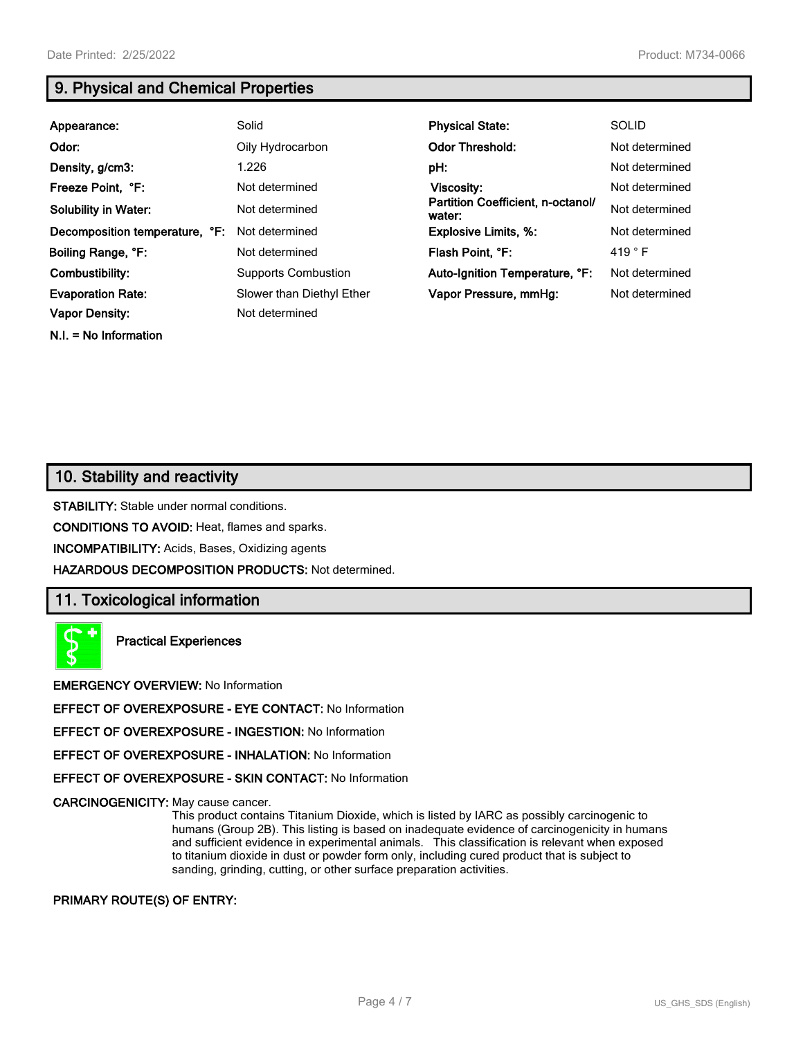**N.I. = No Information**

# **9. Physical and Chemical Properties**

| Appearance:                    | Solid                      | <b>Physical State:</b>                      | <b>SOLID</b>    |
|--------------------------------|----------------------------|---------------------------------------------|-----------------|
| Odor:                          | Oily Hydrocarbon           | <b>Odor Threshold:</b>                      | Not determined  |
| Density, g/cm3:                | 1.226                      | pH:                                         | Not determined  |
| Freeze Point, °F:              | Not determined             | <b>Viscosity:</b>                           | Not determined  |
| <b>Solubility in Water:</b>    | Not determined             | Partition Coefficient, n-octanol/<br>water: | Not determined  |
| Decomposition temperature, °F: | Not determined             | <b>Explosive Limits, %:</b>                 | Not determined  |
| Boiling Range, °F:             | Not determined             | Flash Point, °F:                            | 419 $\degree$ F |
| Combustibility:                | <b>Supports Combustion</b> | Auto-Ignition Temperature, °F:              | Not determined  |
| <b>Evaporation Rate:</b>       | Slower than Diethyl Ether  | Vapor Pressure, mmHq:                       | Not determined  |
| <b>Vapor Density:</b>          | Not determined             |                                             |                 |

## **10. Stability and reactivity**

**STABILITY:** Stable under normal conditions.

**CONDITIONS TO AVOID:** Heat, flames and sparks.

**INCOMPATIBILITY:** Acids, Bases, Oxidizing agents

**HAZARDOUS DECOMPOSITION PRODUCTS:** Not determined.

## **11. Toxicological information**

**Practical Experiences**

**EMERGENCY OVERVIEW:** No Information

**EFFECT OF OVEREXPOSURE - EYE CONTACT:** No Information

**EFFECT OF OVEREXPOSURE - INGESTION:** No Information

**EFFECT OF OVEREXPOSURE - INHALATION:** No Information

**EFFECT OF OVEREXPOSURE - SKIN CONTACT:** No Information

**CARCINOGENICITY:** May cause cancer.

This product contains Titanium Dioxide, which is listed by IARC as possibly carcinogenic to humans (Group 2B). This listing is based on inadequate evidence of carcinogenicity in humans and sufficient evidence in experimental animals. This classification is relevant when exposed to titanium dioxide in dust or powder form only, including cured product that is subject to sanding, grinding, cutting, or other surface preparation activities.

#### **PRIMARY ROUTE(S) OF ENTRY:**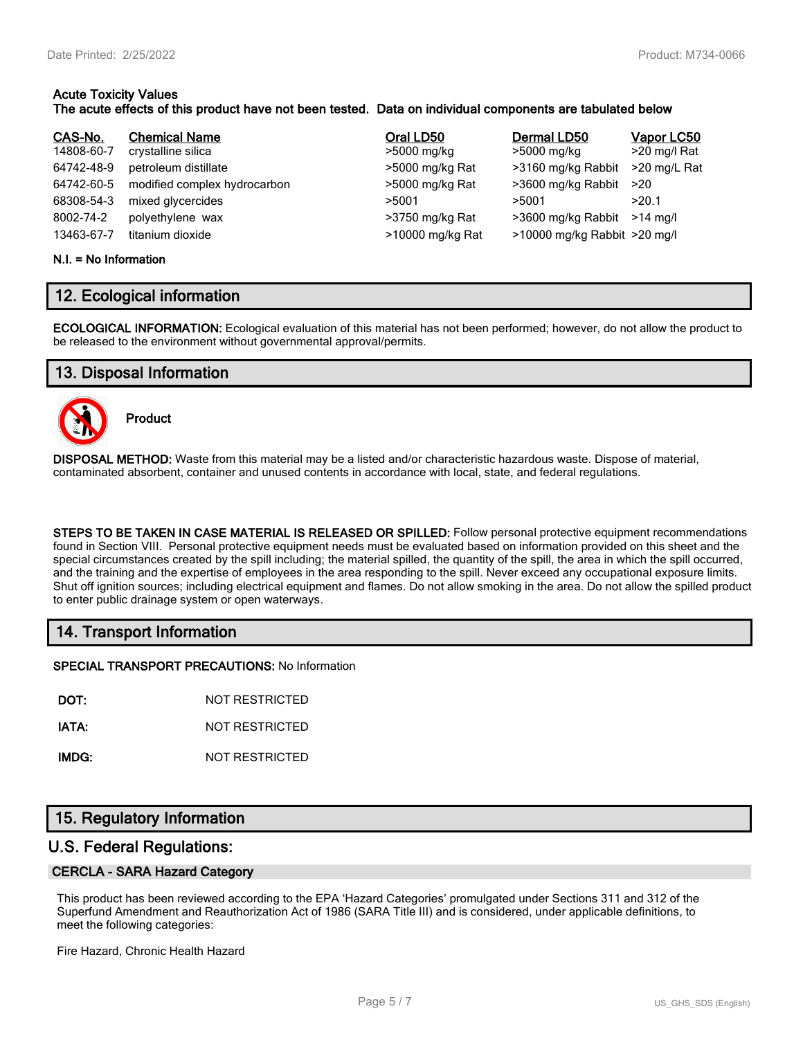#### **Acute Toxicity Values The acute effects of this product have not been tested. Data on individual components are tabulated below**

| CAS-No.    | <b>Chemical Name</b>         | Oral LD50        | Dermal LD50                  | Vapor LC50   |
|------------|------------------------------|------------------|------------------------------|--------------|
| 14808-60-7 | crystalline silica           | >5000 mg/kg      | >5000 mg/kg                  | >20 mg/l Rat |
| 64742-48-9 | petroleum distillate         | >5000 mg/kg Rat  | >3160 mg/kg Rabbit           | >20 mg/L Rat |
| 64742-60-5 | modified complex hydrocarbon | >5000 mg/kg Rat  | >3600 mg/kg Rabbit           | >20          |
| 68308-54-3 | mixed glycercides            | >5001            | >5001                        | >20.1        |
| 8002-74-2  | polyethylene wax             | >3750 mg/kg Rat  | >3600 mg/kg Rabbit           | $>14$ ma/l   |
| 13463-67-7 | titanium dioxide             | >10000 mg/kg Rat | >10000 mg/kg Rabbit >20 mg/l |              |

#### **N.I. = No Information**

## **12. Ecological information**

**ECOLOGICAL INFORMATION:** Ecological evaluation of this material has not been performed; however, do not allow the product to be released to the environment without governmental approval/permits.

## **13. Disposal Information**



**Product**

**DISPOSAL METHOD:** Waste from this material may be a listed and/or characteristic hazardous waste. Dispose of material, contaminated absorbent, container and unused contents in accordance with local, state, and federal regulations.

**STEPS TO BE TAKEN IN CASE MATERIAL IS RELEASED OR SPILLED:** Follow personal protective equipment recommendations found in Section VIII. Personal protective equipment needs must be evaluated based on information provided on this sheet and the special circumstances created by the spill including; the material spilled, the quantity of the spill, the area in which the spill occurred, and the training and the expertise of employees in the area responding to the spill. Never exceed any occupational exposure limits. Shut off ignition sources; including electrical equipment and flames. Do not allow smoking in the area. Do not allow the spilled product to enter public drainage system or open waterways.

## **14. Transport Information**

**SPECIAL TRANSPORT PRECAUTIONS:** No Information

**DOT:** NOT RESTRICTED

**IATA:** NOT RESTRICTED

**IMDG:** NOT RESTRICTED

## **15. Regulatory Information**

#### **U.S. Federal Regulations:**

#### **CERCLA - SARA Hazard Category**

This product has been reviewed according to the EPA 'Hazard Categories' promulgated under Sections 311 and 312 of the Superfund Amendment and Reauthorization Act of 1986 (SARA Title III) and is considered, under applicable definitions, to meet the following categories:

Fire Hazard, Chronic Health Hazard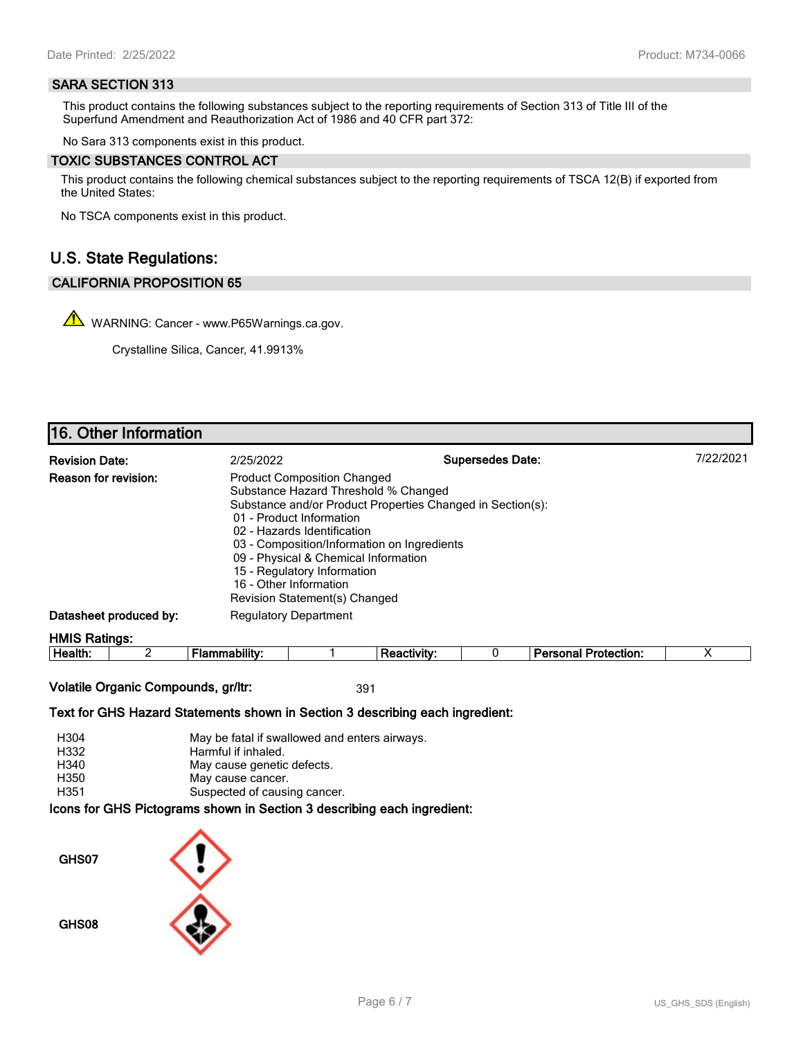#### **SARA SECTION 313**

This product contains the following substances subject to the reporting requirements of Section 313 of Title III of the Superfund Amendment and Reauthorization Act of 1986 and 40 CFR part 372:

No Sara 313 components exist in this product.

#### **TOXIC SUBSTANCES CONTROL ACT**

This product contains the following chemical substances subject to the reporting requirements of TSCA 12(B) if exported from the United States:

No TSCA components exist in this product.

## **U.S. State Regulations:**

#### **CALIFORNIA PROPOSITION 65**

WARNING: Cancer - www.P65Warnings.ca.gov.

Crystalline Silica, Cancer, 41.9913%

# **16. Other Information**

| <b>Revision Date:</b>       | 2/25/2022                                                                                                                                                                                                                                                                                                              | <b>Supersedes Date:</b>                                    | 7/22/2021 |
|-----------------------------|------------------------------------------------------------------------------------------------------------------------------------------------------------------------------------------------------------------------------------------------------------------------------------------------------------------------|------------------------------------------------------------|-----------|
| <b>Reason for revision:</b> | <b>Product Composition Changed</b><br>Substance Hazard Threshold % Changed<br>01 - Product Information<br>02 - Hazards Identification<br>03 - Composition/Information on Ingredients<br>09 - Physical & Chemical Information<br>15 - Regulatory Information<br>16 - Other Information<br>Revision Statement(s) Changed | Substance and/or Product Properties Changed in Section(s): |           |
| Datasheet produced by:      | <b>Regulatory Department</b>                                                                                                                                                                                                                                                                                           |                                                            |           |
| <b>HMIS Ratings:</b>        |                                                                                                                                                                                                                                                                                                                        |                                                            |           |

| .<br>ᅩᄖ<br>ction<br>. |  | He<br>eaith. |  |  |  |  |  |  |  |
|-----------------------|--|--------------|--|--|--|--|--|--|--|
|-----------------------|--|--------------|--|--|--|--|--|--|--|

**Volatile Organic Compounds, gr/ltr:** 391

**Text for GHS Hazard Statements shown in Section 3 describing each ingredient:**

| H304 | May be fatal if swallowed and enters airways.                   |
|------|-----------------------------------------------------------------|
| H332 | Harmful if inhaled.                                             |
| H340 | May cause genetic defects.                                      |
| H350 | May cause cancer.                                               |
| H351 | Suspected of causing cancer.                                    |
|      | aana far OUO Distantena ahalun in Oastian O daasulking aash ing |

**Icons for GHS Pictograms shown in Section 3 describing each ingredient:**